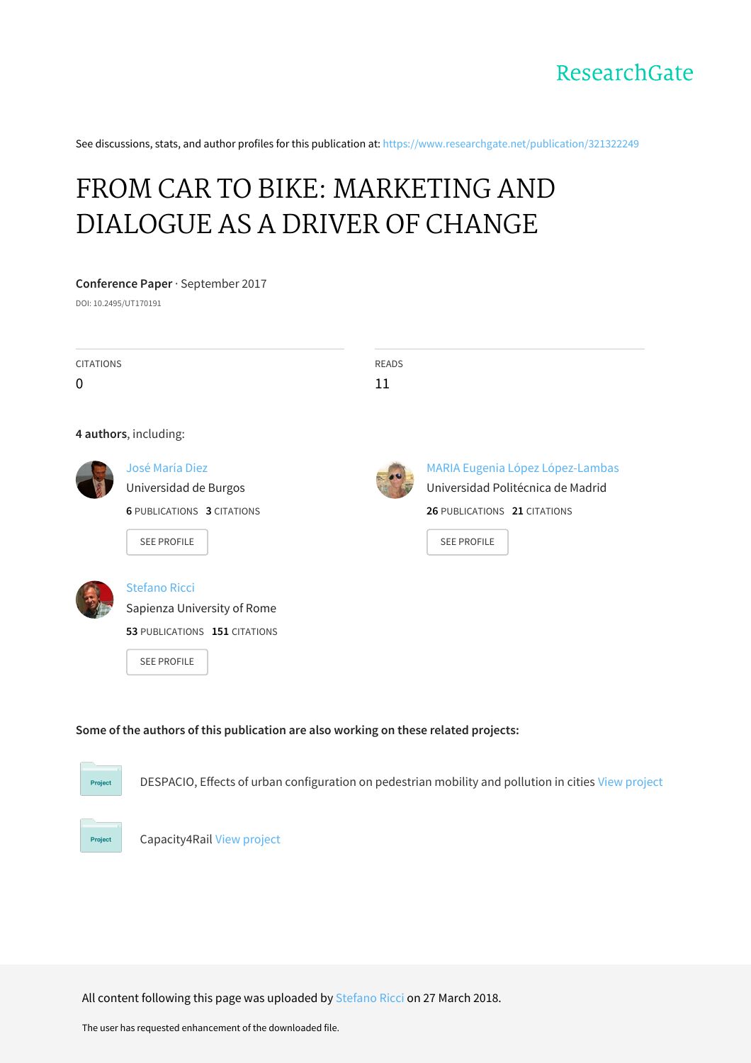See discussions, stats, and author profiles for this publication at: [https://www.researchgate.net/publication/321322249](https://www.researchgate.net/publication/321322249_FROM_CAR_TO_BIKE_MARKETING_AND_DIALOGUE_AS_A_DRIVER_OF_CHANGE?enrichId=rgreq-abf939f1820da66db79d36287802ec9b-XXX&enrichSource=Y292ZXJQYWdlOzMyMTMyMjI0OTtBUzo2MDg3NDc3MzQ5NzQ0NzNAMTUyMjE0ODE3ODU3Mg%3D%3D&el=1_x_2&_esc=publicationCoverPdf)

# FROM CAR TO BIKE: [MARKETING](https://www.researchgate.net/publication/321322249_FROM_CAR_TO_BIKE_MARKETING_AND_DIALOGUE_AS_A_DRIVER_OF_CHANGE?enrichId=rgreq-abf939f1820da66db79d36287802ec9b-XXX&enrichSource=Y292ZXJQYWdlOzMyMTMyMjI0OTtBUzo2MDg3NDc3MzQ5NzQ0NzNAMTUyMjE0ODE3ODU3Mg%3D%3D&el=1_x_3&_esc=publicationCoverPdf) AND DIALOGUE AS A DRIVER OF CHANGE

# **Conference Paper** · September 2017

DOI: 10.2495/UT170191

| <b>CITATIONS</b><br>0 |                                                                                                            | <b>READS</b><br>11 |                                                                                                                             |  |  |  |
|-----------------------|------------------------------------------------------------------------------------------------------------|--------------------|-----------------------------------------------------------------------------------------------------------------------------|--|--|--|
|                       | 4 authors, including:                                                                                      |                    |                                                                                                                             |  |  |  |
|                       | José María Diez<br>Universidad de Burgos<br><b>6 PUBLICATIONS 3 CITATIONS</b><br><b>SEE PROFILE</b>        |                    | MARIA Eugenia López López-Lambas<br>Universidad Politécnica de Madrid<br>26 PUBLICATIONS 21 CITATIONS<br><b>SEE PROFILE</b> |  |  |  |
|                       | <b>Stefano Ricci</b><br>Sapienza University of Rome<br>53 PUBLICATIONS 151 CITATIONS<br><b>SEE PROFILE</b> |                    |                                                                                                                             |  |  |  |

# **Some of the authors of this publication are also working on these related projects:**



DESPACIO, Effects of urban configuration on pedestrian mobility and pollution in cities View [project](https://www.researchgate.net/project/DESPACIO-Effects-of-urban-configuration-on-pedestrian-mobility-and-pollution-in-cities?enrichId=rgreq-abf939f1820da66db79d36287802ec9b-XXX&enrichSource=Y292ZXJQYWdlOzMyMTMyMjI0OTtBUzo2MDg3NDc3MzQ5NzQ0NzNAMTUyMjE0ODE3ODU3Mg%3D%3D&el=1_x_9&_esc=publicationCoverPdf)



Capacity4Rail View [project](https://www.researchgate.net/project/Capacity4Rail-2?enrichId=rgreq-abf939f1820da66db79d36287802ec9b-XXX&enrichSource=Y292ZXJQYWdlOzMyMTMyMjI0OTtBUzo2MDg3NDc3MzQ5NzQ0NzNAMTUyMjE0ODE3ODU3Mg%3D%3D&el=1_x_9&_esc=publicationCoverPdf)

All content following this page was uploaded by [Stefano](https://www.researchgate.net/profile/Stefano_Ricci2?enrichId=rgreq-abf939f1820da66db79d36287802ec9b-XXX&enrichSource=Y292ZXJQYWdlOzMyMTMyMjI0OTtBUzo2MDg3NDc3MzQ5NzQ0NzNAMTUyMjE0ODE3ODU3Mg%3D%3D&el=1_x_10&_esc=publicationCoverPdf) Ricci on 27 March 2018.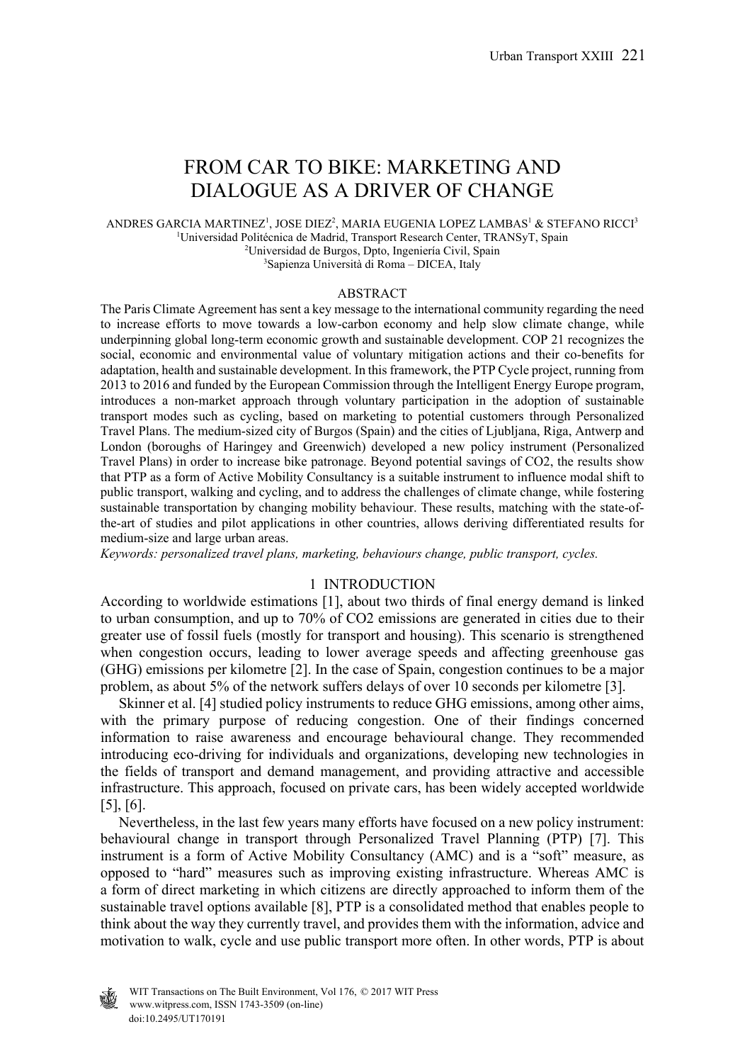# FROM CAR TO BIKE: MARKETING AND DIALOGUE AS A DRIVER OF CHANGE

ANDRES GARCIA MARTINEZ<sup>1</sup>, JOSE DIEZ<sup>2</sup>, MARIA EUGENIA LOPEZ LAMBAS<sup>1</sup> & STEFANO RICCI<sup>3</sup> <sup>1</sup>Universidad Politécnica de Madrid, Transport Research Center, TRANSyT, Spain <sup>2</sup>Universidad de Burgos, Dpto, Ingeniería Civil, Spain Universidad de Burgos, Dpto, Ingeniería Civil, Spain 3 <sup>3</sup>Sapienza Università di Roma – DICEA, Italy

#### ABSTRACT

The Paris Climate Agreement has sent a key message to the international community regarding the need to increase efforts to move towards a low-carbon economy and help slow climate change, while underpinning global long-term economic growth and sustainable development. COP 21 recognizes the social, economic and environmental value of voluntary mitigation actions and their co-benefits for adaptation, health and sustainable development. In this framework, the PTP Cycle project, running from 2013 to 2016 and funded by the European Commission through the Intelligent Energy Europe program, introduces a non-market approach through voluntary participation in the adoption of sustainable transport modes such as cycling, based on marketing to potential customers through Personalized Travel Plans. The medium-sized city of Burgos (Spain) and the cities of Ljubljana, Riga, Antwerp and London (boroughs of Haringey and Greenwich) developed a new policy instrument (Personalized Travel Plans) in order to increase bike patronage. Beyond potential savings of CO2, the results show that PTP as a form of Active Mobility Consultancy is a suitable instrument to influence modal shift to public transport, walking and cycling, and to address the challenges of climate change, while fostering sustainable transportation by changing mobility behaviour. These results, matching with the state-ofthe-art of studies and pilot applications in other countries, allows deriving differentiated results for medium-size and large urban areas.

*Keywords: personalized travel plans, marketing, behaviours change, public transport, cycles.* 

#### 1 INTRODUCTION

According to worldwide estimations [1], about two thirds of final energy demand is linked to urban consumption, and up to 70% of CO2 emissions are generated in cities due to their greater use of fossil fuels (mostly for transport and housing). This scenario is strengthened when congestion occurs, leading to lower average speeds and affecting greenhouse gas (GHG) emissions per kilometre [2]. In the case of Spain, congestion continues to be a major problem, as about 5% of the network suffers delays of over 10 seconds per kilometre [3].

 Skinner et al. [4] studied policy instruments to reduce GHG emissions, among other aims, with the primary purpose of reducing congestion. One of their findings concerned information to raise awareness and encourage behavioural change. They recommended introducing eco-driving for individuals and organizations, developing new technologies in the fields of transport and demand management, and providing attractive and accessible infrastructure. This approach, focused on private cars, has been widely accepted worldwide [5], [6].

 Nevertheless, in the last few years many efforts have focused on a new policy instrument: behavioural change in transport through Personalized Travel Planning (PTP) [7]. This instrument is a form of Active Mobility Consultancy (AMC) and is a "soft" measure, as opposed to "hard" measures such as improving existing infrastructure. Whereas AMC is a form of direct marketing in which citizens are directly approached to inform them of the sustainable travel options available [8], PTP is a consolidated method that enables people to think about the way they currently travel, and provides them with the information, advice and motivation to walk, cycle and use public transport more often. In other words, PTP is about

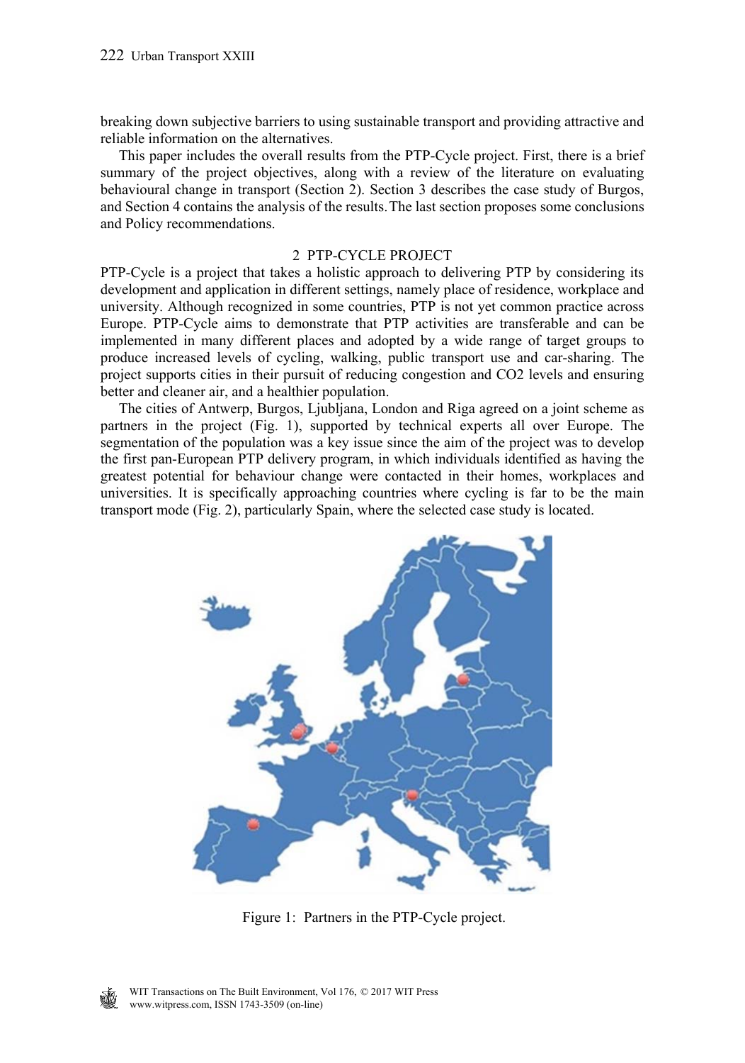breaking down subjective barriers to using sustainable transport and providing attractive and reliable information on the alternatives.

 This paper includes the overall results from the PTP-Cycle project. First, there is a brief summary of the project objectives, along with a review of the literature on evaluating behavioural change in transport (Section 2). Section 3 describes the case study of Burgos, and Section 4 contains the analysis of the results. The last section proposes some conclusions and Policy recommendations.

#### 2 PTP-CYCLE PROJECT

PTP-Cycle is a project that takes a holistic approach to delivering PTP by considering its development and application in different settings, namely place of residence, workplace and university. Although recognized in some countries, PTP is not yet common practice across Europe. PTP-Cycle aims to demonstrate that PTP activities are transferable and can be implemented in many different places and adopted by a wide range of target groups to produce increased levels of cycling, walking, public transport use and car-sharing. The project supports cities in their pursuit of reducing congestion and CO2 levels and ensuring better and cleaner air, and a healthier population.

 The cities of Antwerp, Burgos, Ljubljana, London and Riga agreed on a joint scheme as partners in the project (Fig. 1), supported by technical experts all over Europe. The segmentation of the population was a key issue since the aim of the project was to develop the first pan-European PTP delivery program, in which individuals identified as having the greatest potential for behaviour change were contacted in their homes, workplaces and universities. It is specifically approaching countries where cycling is far to be the main transport mode (Fig. 2), particularly Spain, where the selected case study is located.



Figure 1: Partners in the PTP-Cycle project.

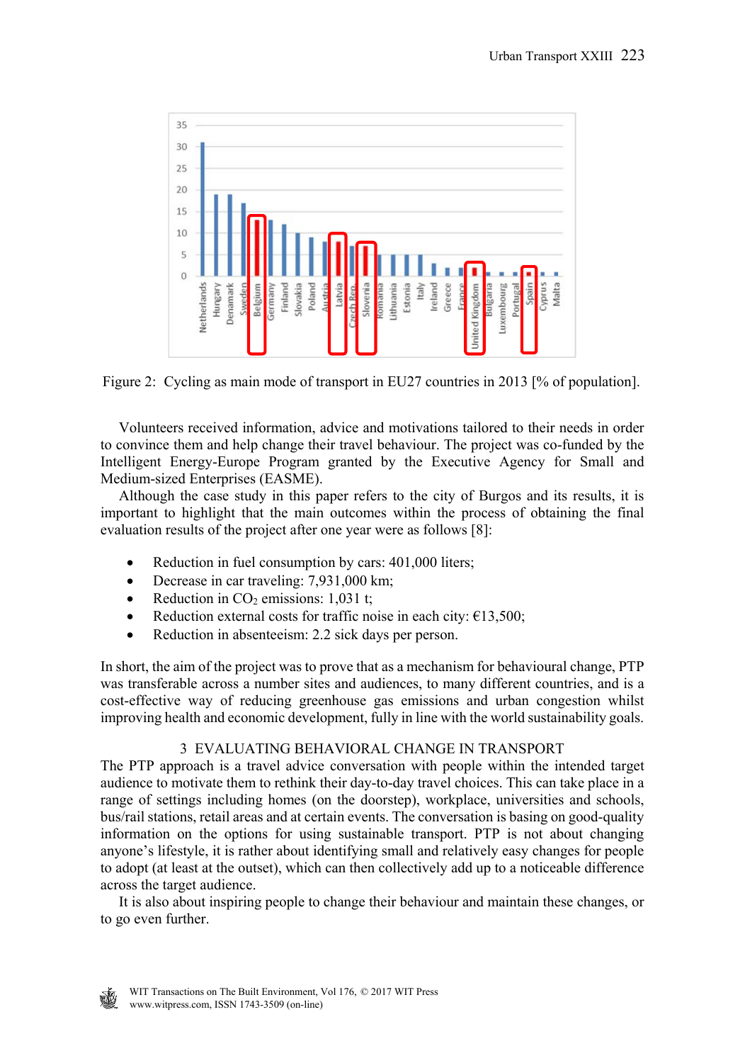

Figure 2: Cycling as main mode of transport in EU27 countries in 2013 [% of population].

 Volunteers received information, advice and motivations tailored to their needs in order to convince them and help change their travel behaviour. The project was co-funded by the Intelligent Energy-Europe Program granted by the Executive Agency for Small and Medium-sized Enterprises (EASME).

 Although the case study in this paper refers to the city of Burgos and its results, it is important to highlight that the main outcomes within the process of obtaining the final evaluation results of the project after one year were as follows [8]:

- Reduction in fuel consumption by cars: 401,000 liters;
- Decrease in car traveling: 7,931,000 km;
- Reduction in  $CO<sub>2</sub>$  emissions: 1,031 t;
- Reduction external costs for traffic noise in each city:  $\epsilon$ 13,500;
- Reduction in absenteeism: 2.2 sick days per person.

In short, the aim of the project was to prove that as a mechanism for behavioural change, PTP was transferable across a number sites and audiences, to many different countries, and is a cost-effective way of reducing greenhouse gas emissions and urban congestion whilst improving health and economic development, fully in line with the world sustainability goals.

# 3 EVALUATING BEHAVIORAL CHANGE IN TRANSPORT

The PTP approach is a travel advice conversation with people within the intended target audience to motivate them to rethink their day-to-day travel choices. This can take place in a range of settings including homes (on the doorstep), workplace, universities and schools, bus/rail stations, retail areas and at certain events. The conversation is basing on good-quality information on the options for using sustainable transport. PTP is not about changing anyone's lifestyle, it is rather about identifying small and relatively easy changes for people to adopt (at least at the outset), which can then collectively add up to a noticeable difference across the target audience.

 It is also about inspiring people to change their behaviour and maintain these changes, or to go even further.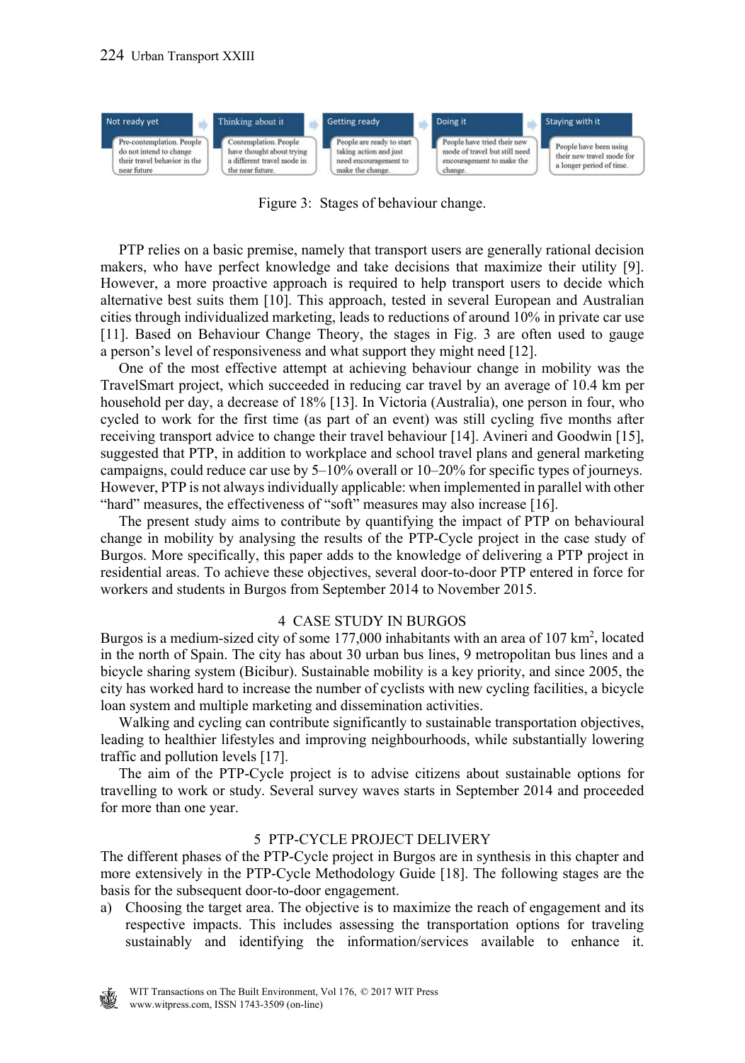

Figure 3: Stages of behaviour change.

 PTP relies on a basic premise, namely that transport users are generally rational decision makers, who have perfect knowledge and take decisions that maximize their utility [9]. However, a more proactive approach is required to help transport users to decide which alternative best suits them [10]. This approach, tested in several European and Australian cities through individualized marketing, leads to reductions of around 10% in private car use [11]. Based on Behaviour Change Theory, the stages in Fig. 3 are often used to gauge a person's level of responsiveness and what support they might need [12].

 One of the most effective attempt at achieving behaviour change in mobility was the TravelSmart project, which succeeded in reducing car travel by an average of 10.4 km per household per day, a decrease of 18% [13]. In Victoria (Australia), one person in four, who cycled to work for the first time (as part of an event) was still cycling five months after receiving transport advice to change their travel behaviour [14]. Avineri and Goodwin [15], suggested that PTP, in addition to workplace and school travel plans and general marketing campaigns, could reduce car use by 5–10% overall or 10–20% for specific types of journeys. However, PTP is not always individually applicable: when implemented in parallel with other "hard" measures, the effectiveness of "soft" measures may also increase [16].

 The present study aims to contribute by quantifying the impact of PTP on behavioural change in mobility by analysing the results of the PTP-Cycle project in the case study of Burgos. More specifically, this paper adds to the knowledge of delivering a PTP project in residential areas. To achieve these objectives, several door-to-door PTP entered in force for workers and students in Burgos from September 2014 to November 2015.

# 4 CASE STUDY IN BURGOS

Burgos is a medium-sized city of some 177,000 inhabitants with an area of 107 km<sup>2</sup>, located in the north of Spain. The city has about 30 urban bus lines, 9 metropolitan bus lines and a bicycle sharing system (Bicibur). Sustainable mobility is a key priority, and since 2005, the city has worked hard to increase the number of cyclists with new cycling facilities, a bicycle loan system and multiple marketing and dissemination activities.

 Walking and cycling can contribute significantly to sustainable transportation objectives, leading to healthier lifestyles and improving neighbourhoods, while substantially lowering traffic and pollution levels [17].

 The aim of the PTP-Cycle project is to advise citizens about sustainable options for travelling to work or study. Several survey waves starts in September 2014 and proceeded for more than one year.

#### 5 PTP-CYCLE PROJECT DELIVERY

The different phases of the PTP-Cycle project in Burgos are in synthesis in this chapter and more extensively in the PTP-Cycle Methodology Guide [18]. The following stages are the basis for the subsequent door-to-door engagement.

a) Choosing the target area. The objective is to maximize the reach of engagement and its respective impacts. This includes assessing the transportation options for traveling sustainably and identifying the information/services available to enhance it.

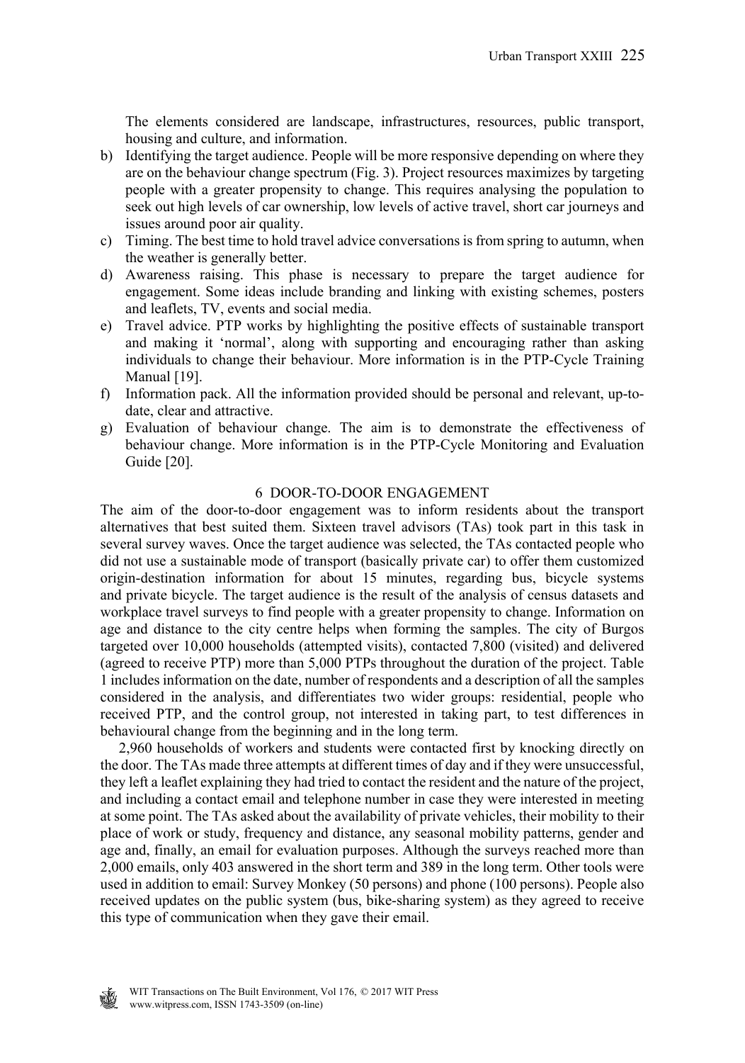The elements considered are landscape, infrastructures, resources, public transport, housing and culture, and information.

- b) Identifying the target audience. People will be more responsive depending on where they are on the behaviour change spectrum (Fig. 3). Project resources maximizes by targeting people with a greater propensity to change. This requires analysing the population to seek out high levels of car ownership, low levels of active travel, short car journeys and issues around poor air quality.
- c) Timing. The best time to hold travel advice conversations is from spring to autumn, when the weather is generally better.
- d) Awareness raising. This phase is necessary to prepare the target audience for engagement. Some ideas include branding and linking with existing schemes, posters and leaflets, TV, events and social media.
- e) Travel advice. PTP works by highlighting the positive effects of sustainable transport and making it 'normal', along with supporting and encouraging rather than asking individuals to change their behaviour. More information is in the PTP-Cycle Training Manual [19].
- f) Information pack. All the information provided should be personal and relevant, up-todate, clear and attractive.
- g) Evaluation of behaviour change. The aim is to demonstrate the effectiveness of behaviour change. More information is in the PTP-Cycle Monitoring and Evaluation Guide [20].

#### 6 DOOR-TO-DOOR ENGAGEMENT

The aim of the door-to-door engagement was to inform residents about the transport alternatives that best suited them. Sixteen travel advisors (TAs) took part in this task in several survey waves. Once the target audience was selected, the TAs contacted people who did not use a sustainable mode of transport (basically private car) to offer them customized origin-destination information for about 15 minutes, regarding bus, bicycle systems and private bicycle. The target audience is the result of the analysis of census datasets and workplace travel surveys to find people with a greater propensity to change. Information on age and distance to the city centre helps when forming the samples. The city of Burgos targeted over 10,000 households (attempted visits), contacted 7,800 (visited) and delivered (agreed to receive PTP) more than 5,000 PTPs throughout the duration of the project. Table 1 includes information on the date, number of respondents and a description of all the samples considered in the analysis, and differentiates two wider groups: residential, people who received PTP, and the control group, not interested in taking part, to test differences in behavioural change from the beginning and in the long term.

 2,960 households of workers and students were contacted first by knocking directly on the door. The TAs made three attempts at different times of day and if they were unsuccessful, they left a leaflet explaining they had tried to contact the resident and the nature of the project, and including a contact email and telephone number in case they were interested in meeting at some point. The TAs asked about the availability of private vehicles, their mobility to their place of work or study, frequency and distance, any seasonal mobility patterns, gender and age and, finally, an email for evaluation purposes. Although the surveys reached more than 2,000 emails, only 403 answered in the short term and 389 in the long term. Other tools were used in addition to email: Survey Monkey (50 persons) and phone (100 persons). People also received updates on the public system (bus, bike-sharing system) as they agreed to receive this type of communication when they gave their email.

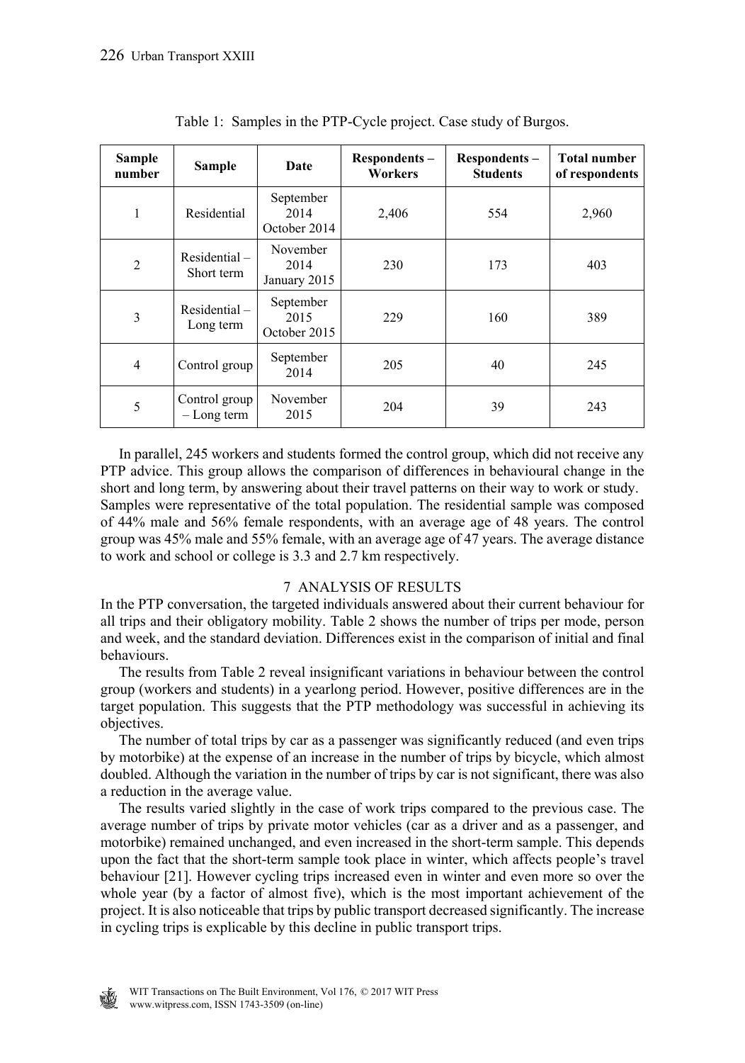| Sample<br>number | <b>Sample</b><br>Date                                            |                                   | Respondents-<br>Workers | Respondents-<br><b>Students</b> | <b>Total number</b><br>of respondents |  |
|------------------|------------------------------------------------------------------|-----------------------------------|-------------------------|---------------------------------|---------------------------------------|--|
| 1                | Residential                                                      | September<br>2014<br>October 2014 | 2,406                   | 554                             | 2,960                                 |  |
| $\overline{2}$   | November<br>$Residental -$<br>2014<br>Short term<br>January 2015 |                                   | 230                     | 173                             | 403                                   |  |
| 3                | September<br>$Residental -$<br>2015<br>Long term<br>October 2015 |                                   | 229                     | 160                             | 389                                   |  |
| $\overline{4}$   | Control group                                                    | September<br>2014                 | 205                     | 40                              | 245                                   |  |
| 5                | November<br>Control group<br>2015<br>$-Long$ term                |                                   | 204                     | 39                              | 243                                   |  |

Table 1: Samples in the PTP-Cycle project. Case study of Burgos.

 In parallel, 245 workers and students formed the control group, which did not receive any PTP advice. This group allows the comparison of differences in behavioural change in the short and long term, by answering about their travel patterns on their way to work or study. Samples were representative of the total population. The residential sample was composed of 44% male and 56% female respondents, with an average age of 48 years. The control group was 45% male and 55% female, with an average age of 47 years. The average distance to work and school or college is 3.3 and 2.7 km respectively.

# 7 ANALYSIS OF RESULTS

In the PTP conversation, the targeted individuals answered about their current behaviour for all trips and their obligatory mobility. Table 2 shows the number of trips per mode, person and week, and the standard deviation. Differences exist in the comparison of initial and final behaviours.

 The results from Table 2 reveal insignificant variations in behaviour between the control group (workers and students) in a yearlong period. However, positive differences are in the target population. This suggests that the PTP methodology was successful in achieving its objectives.

 The number of total trips by car as a passenger was significantly reduced (and even trips by motorbike) at the expense of an increase in the number of trips by bicycle, which almost doubled. Although the variation in the number of trips by car is not significant, there was also a reduction in the average value.

 The results varied slightly in the case of work trips compared to the previous case. The average number of trips by private motor vehicles (car as a driver and as a passenger, and motorbike) remained unchanged, and even increased in the short-term sample. This depends upon the fact that the short-term sample took place in winter, which affects people's travel behaviour [21]. However cycling trips increased even in winter and even more so over the whole year (by a factor of almost five), which is the most important achievement of the project. It is also noticeable that trips by public transport decreased significantly. The increase in cycling trips is explicable by this decline in public transport trips.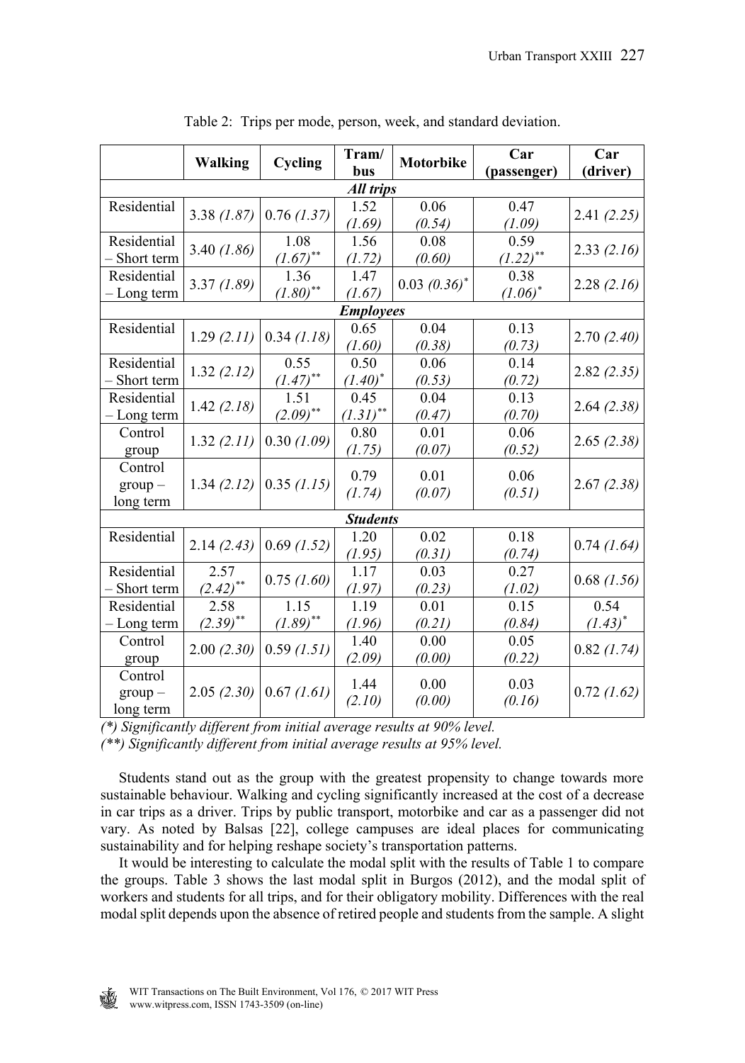|                  | <b>Walking</b> | Cycling                | Tram/<br>bus     | Motorbike       | Car<br>(passenger) | Car<br>(driver) |
|------------------|----------------|------------------------|------------------|-----------------|--------------------|-----------------|
| <b>All trips</b> |                |                        |                  |                 |                    |                 |
| Residential      | 3.38(1.87)     | 0.76(1.37)             | 1.52             | 0.06            | 0.47               | 2.41(2.25)      |
|                  |                |                        | (1.69)           | (0.54)          | (1.09)             |                 |
| Residential      | $3.40$ (1.86)  | 1.08                   | 1.56             | 0.08            | 0.59               | 2.33(2.16)      |
| - Short term     |                | $(1.67)$ **            | (1.72)           | (0.60)          | $(L.22)$ **        |                 |
| Residential      | 3.37(1.89)     | 1.36                   | 1.47             | $0.03~(0.36)^*$ | 0.38               | 2.28(2.16)      |
| - Long term      |                | $(1.80)$ <sup>**</sup> | (1.67)           |                 | $(1.06)^*$         |                 |
|                  |                |                        | <b>Employees</b> |                 |                    |                 |
| Residential      | 1.29(2.11)     | $0.34$ (1.18)          | 0.65             | 0.04            | 0.13               | 2.70(2.40)      |
|                  |                |                        | (1.60)           | (0.38)          | (0.73)             |                 |
| Residential      | 1.32(2.12)     | 0.55                   | 0.50             | 0.06            | 0.14               | 2.82(2.35)      |
| Short term       |                | $(1.47)$ **            | $(1.40)^*$       | (0.53)          | (0.72)             |                 |
| Residential      | 1.42(2.18)     | 1.51<br>$(2.09)$ **    | 0.45             | 0.04            | 0.13               | 2.64(2.38)      |
| - Long term      |                |                        | $(1.31)$ **      | (0.47)          | (0.70)             |                 |
| Control          | 1.32(2.11)     | 0.30(1.09)             | 0.80             | 0.01            | 0.06               | 2.65(2.38)      |
| group            |                |                        | (1.75)           | (0.07)          | (0.52)             |                 |
| Control          | 1.34(2.12)     | $0.35$ (1.15)          | 0.79             | 0.01            | 0.06               | 2.67(2.38)      |
| $group -$        |                |                        | (1.74)           | (0.07)          | (0.51)             |                 |
| long term        |                |                        |                  |                 |                    |                 |
| <b>Students</b>  |                |                        |                  |                 |                    |                 |
| Residential      | 2.14(2.43)     | $0.69$ (1.52)          | 1.20             | 0.02            | 0.18               | $0.74$ (1.64)   |
|                  |                |                        | (1.95)           | (0.31)          | (0.74)             |                 |
| Residential      | 2.57           | $0.75$ $(1.60)$        | 1.17             | 0.03            | 0.27               | $0.68$ $(1.56)$ |
| Short term       | $(2.42)$ **    |                        | (1.97)           | (0.23)          | (1.02)             |                 |
| Residential      | 2.58           | 1.15                   | 1.19             | 0.01            | 0.15               | 0.54            |
| - Long term      | $(2.39)$ **    | $(1.89)$ **            | (1.96)           | (0.21)          | (0.84)             | $(1.43)^{*}$    |
| Control          | 2.00(2.30)     | 0.59(1.51)             | 1.40             | 0.00            | 0.05               | $0.82$ (1.74)   |
| group            |                |                        | (2.09)           | (0.00)          | (0.22)             |                 |
| Control          | 2.05(2.30)     | 0.67 (1.61)            | 1.44             | 0.00            | 0.03               | $0.72$ $(1.62)$ |
| $group -$        |                |                        | (2.10)           |                 | (0.16)             |                 |
| long term        |                |                        |                  | (0.00)          |                    |                 |

Table 2: Trips per mode, person, week, and standard deviation.

*(\*) Significantly different from initial average results at 90% level.*

*(\*\*) Significantly different from initial average results at 95% level.*

 Students stand out as the group with the greatest propensity to change towards more sustainable behaviour. Walking and cycling significantly increased at the cost of a decrease in car trips as a driver. Trips by public transport, motorbike and car as a passenger did not vary. As noted by Balsas [22], college campuses are ideal places for communicating sustainability and for helping reshape society's transportation patterns.

 It would be interesting to calculate the modal split with the results of Table 1 to compare the groups. Table 3 shows the last modal split in Burgos (2012), and the modal split of workers and students for all trips, and for their obligatory mobility. Differences with the real modal split depends upon the absence of retired people and students from the sample. A slight

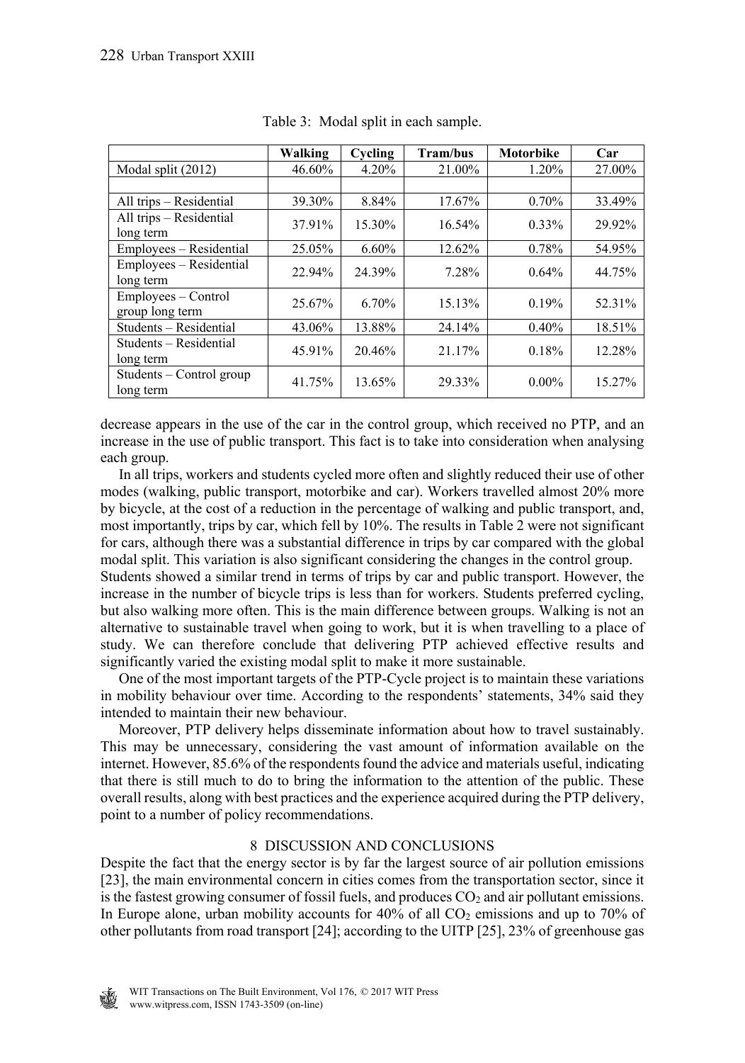|                                        | Walking | Cycling  | <b>Tram/bus</b> | <b>Motorbike</b> | Car    |
|----------------------------------------|---------|----------|-----------------|------------------|--------|
| Modal split (2012)                     | 46.60%  | 4.20%    | 21.00%          | 1.20%            | 27.00% |
|                                        |         |          |                 |                  |        |
| All trips - Residential                | 39.30%  | 8.84%    | 17.67%          | 0.70%            | 33.49% |
| All trips - Residential<br>long term   | 37.91%  | 15.30%   | 16.54%          | $0.33\%$         | 29.92% |
| Employees – Residential                | 25.05%  | $6.60\%$ | 12.62%          | 0.78%            | 54.95% |
| Employees - Residential<br>long term   | 22.94%  | 24.39%   | 7.28%           | 0.64%            | 44.75% |
| Employees – Control<br>group long term | 25.67%  | 6.70%    | 15.13%          | 0.19%            | 52.31% |
| Students - Residential                 | 43.06%  | 13.88%   | 24.14%          | 0.40%            | 18.51% |
| Students – Residential<br>long term    | 45.91%  | 20.46%   | 21.17%          | 0.18%            | 12.28% |
| Students – Control group<br>long term  | 41.75%  | 13.65%   | 29.33%          | $0.00\%$         | 15.27% |

Table 3: Modal split in each sample.

decrease appears in the use of the car in the control group, which received no PTP, and an increase in the use of public transport. This fact is to take into consideration when analysing each group.

 In all trips, workers and students cycled more often and slightly reduced their use of other modes (walking, public transport, motorbike and car). Workers travelled almost 20% more by bicycle, at the cost of a reduction in the percentage of walking and public transport, and, most importantly, trips by car, which fell by 10%. The results in Table 2 were not significant for cars, although there was a substantial difference in trips by car compared with the global modal split. This variation is also significant considering the changes in the control group.

Students showed a similar trend in terms of trips by car and public transport. However, the increase in the number of bicycle trips is less than for workers. Students preferred cycling, but also walking more often. This is the main difference between groups. Walking is not an alternative to sustainable travel when going to work, but it is when travelling to a place of study. We can therefore conclude that delivering PTP achieved effective results and significantly varied the existing modal split to make it more sustainable.

 One of the most important targets of the PTP-Cycle project is to maintain these variations in mobility behaviour over time. According to the respondents' statements, 34% said they intended to maintain their new behaviour.

 Moreover, PTP delivery helps disseminate information about how to travel sustainably. This may be unnecessary, considering the vast amount of information available on the internet. However, 85.6% of the respondents found the advice and materials useful, indicating that there is still much to do to bring the information to the attention of the public. These overall results, along with best practices and the experience acquired during the PTP delivery, point to a number of policy recommendations.

# 8 DISCUSSION AND CONCLUSIONS

Despite the fact that the energy sector is by far the largest source of air pollution emissions [23], the main environmental concern in cities comes from the transportation sector, since it is the fastest growing consumer of fossil fuels, and produces  $CO<sub>2</sub>$  and air pollutant emissions. In Europe alone, urban mobility accounts for  $40\%$  of all  $CO<sub>2</sub>$  emissions and up to 70% of other pollutants from road transport [24]; according to the UITP [25], 23% of greenhouse gas

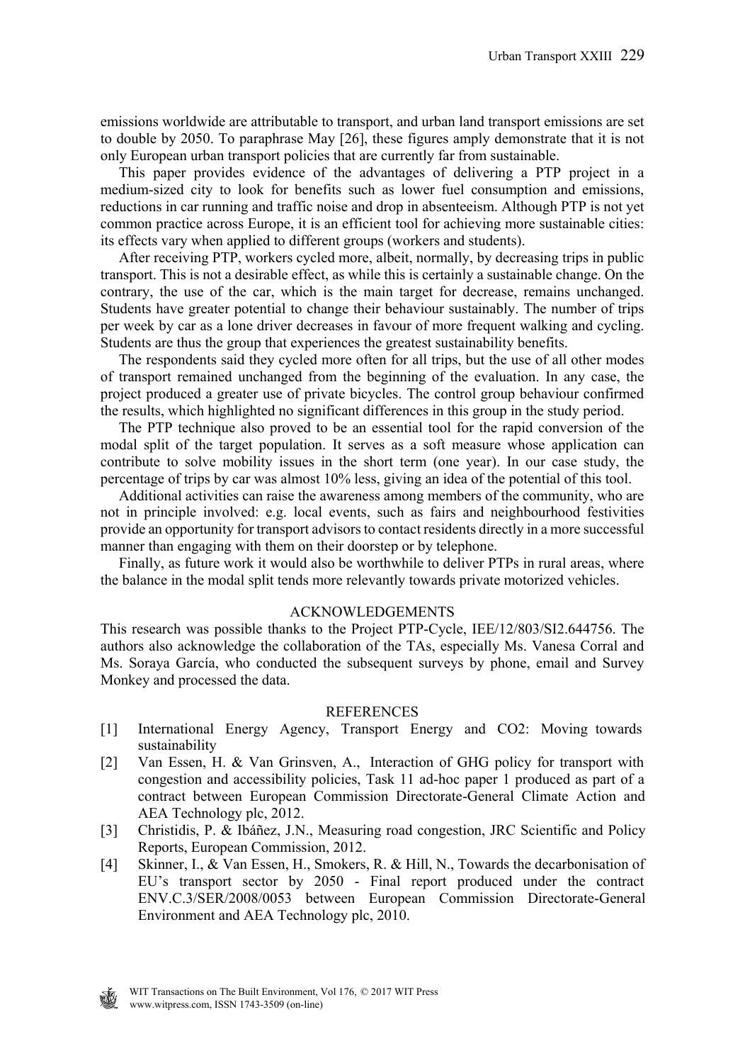emissions worldwide are attributable to transport, and urban land transport emissions are set to double by 2050. To paraphrase May [26], these figures amply demonstrate that it is not only European urban transport policies that are currently far from sustainable.

 This paper provides evidence of the advantages of delivering a PTP project in a medium-sized city to look for benefits such as lower fuel consumption and emissions, reductions in car running and traffic noise and drop in absenteeism. Although PTP is not yet common practice across Europe, it is an efficient tool for achieving more sustainable cities: its effects vary when applied to different groups (workers and students).

 After receiving PTP, workers cycled more, albeit, normally, by decreasing trips in public transport. This is not a desirable effect, as while this is certainly a sustainable change. On the contrary, the use of the car, which is the main target for decrease, remains unchanged. Students have greater potential to change their behaviour sustainably. The number of trips per week by car as a lone driver decreases in favour of more frequent walking and cycling. Students are thus the group that experiences the greatest sustainability benefits.

 The respondents said they cycled more often for all trips, but the use of all other modes of transport remained unchanged from the beginning of the evaluation. In any case, the project produced a greater use of private bicycles. The control group behaviour confirmed the results, which highlighted no significant differences in this group in the study period.

 The PTP technique also proved to be an essential tool for the rapid conversion of the modal split of the target population. It serves as a soft measure whose application can contribute to solve mobility issues in the short term (one year). In our case study, the percentage of trips by car was almost 10% less, giving an idea of the potential of this tool.

 Additional activities can raise the awareness among members of the community, who are not in principle involved: e.g. local events, such as fairs and neighbourhood festivities provide an opportunity for transport advisors to contact residents directly in a more successful manner than engaging with them on their doorstep or by telephone.

 Finally, as future work it would also be worthwhile to deliver PTPs in rural areas, where the balance in the modal split tends more relevantly towards private motorized vehicles.

#### ACKNOWLEDGEMENTS

This research was possible thanks to the Project PTP-Cycle, IEE/12/803/SI2.644756. The authors also acknowledge the collaboration of the TAs, especially Ms. Vanesa Corral and Ms. Soraya García, who conducted the subsequent surveys by phone, email and Survey Monkey and processed the data.

#### REFERENCES

- [1] International Energy Agency, Transport Energy and CO2: Moving towards sustainability
- [2] Van Essen, H. & Van Grinsven, A., Interaction of GHG policy for transport with congestion and accessibility policies, Task 11 ad-hoc paper 1 produced as part of a contract between European Commission Directorate-General Climate Action and AEA Technology plc, 2012.
- [3] Christidis, P. & Ibáñez, J.N., Measuring road congestion, JRC Scientific and Policy Reports, European Commission, 2012.
- [4] Skinner, I., & Van Essen, H., Smokers, R. & Hill, N., Towards the decarbonisation of EU's transport sector by 2050 - Final report produced under the contract ENV.C.3/SER/2008/0053 between European Commission Directorate-General Environment and AEA Technology plc, 2010.